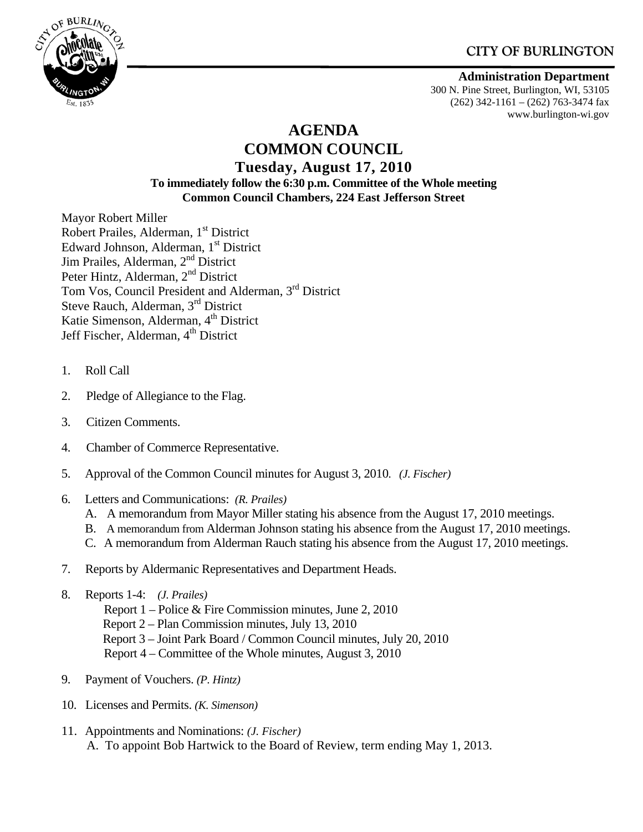# **CITY OF BURLINGTON**



#### **Administration Department**

300 N. Pine Street, Burlington, WI, 53105 (262) 342-1161 – (262) 763-3474 fax www.burlington-wi.gov

# **AGENDA COMMON COUNCIL Tuesday, August 17, 2010**

#### **To immediately follow the 6:30 p.m. Committee of the Whole meeting Common Council Chambers, 224 East Jefferson Street**

Mayor Robert Miller Robert Prailes, Alderman, 1<sup>st</sup> District Edward Johnson, Alderman, 1<sup>st</sup> District Jim Prailes, Alderman, 2<sup>nd</sup> District Peter Hintz, Alderman, 2<sup>nd</sup> District Tom Vos, Council President and Alderman, 3rd District Steve Rauch, Alderman, 3<sup>rd</sup> District Katie Simenson, Alderman, 4<sup>th</sup> District Jeff Fischer, Alderman, 4<sup>th</sup> District

- 1. Roll Call
- 2. Pledge of Allegiance to the Flag.
- 3. Citizen Comments.
- 4. Chamber of Commerce Representative.
- 5. Approval of the Common Council minutes for August 3, 2010. *(J. Fischer)*
- 6. Letters and Communications: *(R. Prailes)*
	- A. A memorandum from Mayor Miller stating his absence from the August 17, 2010 meetings.
	- B. A memorandum from Alderman Johnson stating his absence from the August 17, 2010 meetings.
	- C. A memorandum from Alderman Rauch stating his absence from the August 17, 2010 meetings.
- 7. Reports by Aldermanic Representatives and Department Heads.
- 8. Reports 1-4: *(J. Prailes)* 
	- Report 1 Police & Fire Commission minutes, June 2, 2010
	- Report 2 Plan Commission minutes, July 13, 2010
	- Report 3 Joint Park Board / Common Council minutes, July 20, 2010
	- Report 4 Committee of the Whole minutes, August 3, 2010
- 9. Payment of Vouchers. *(P. Hintz)*
- 10. Licenses and Permits. *(K. Simenson)*
- 11. Appointments and Nominations: *(J. Fischer)* A. To appoint Bob Hartwick to the Board of Review, term ending May 1, 2013.